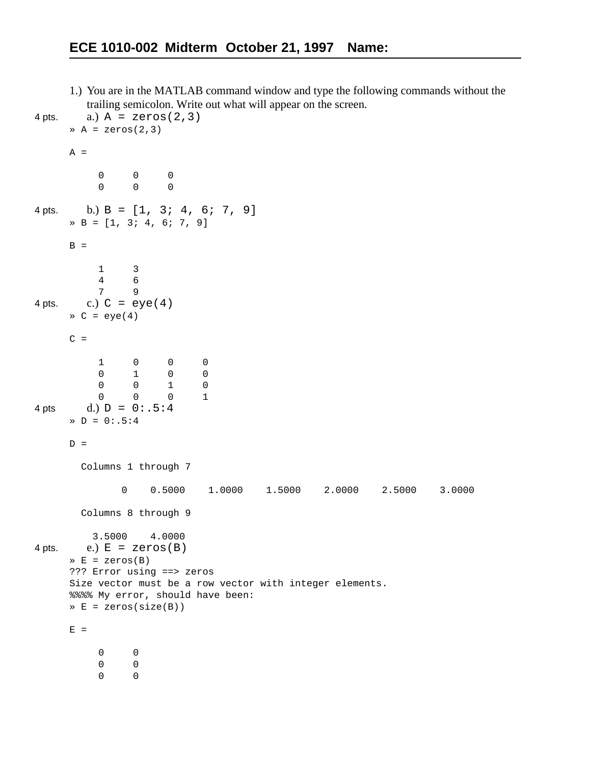1.) You are in the MATLAB command window and type the following commands without the trailing semicolon. Write out what will appear on the screen.

```
4 pts. a.) A = 2e\cos(2, 3)\geq A = zeros(2,3)
     A = 0 0 0
      0 0 0
4 pts. b.) B = [1, 3; 4, 6; 7, 9]» B = [1, 3; 4, 6; 7, 9]
     B = 1 3
         \begin{array}{ccc} 4 & & 6 \\ 7 & & 9 \end{array} 7 9
4 pts. c.) C = eye(4)\ast C = eye(4)
     C = 1 0 0 0
      0 1 0 0
      0 0 1 0
      0 0 0 1
4 pts d.) D = 0: .5:4\text{D} = 0: .5:4D = Columns 1 through 7 
              0 0.5000 1.0000 1.5000 2.0000 2.5000 3.0000
        Columns 8 through 9 
          3.5000 4.0000
4 pts. e.) E = \text{zeros}(B)\ast E = zeros(B)
     ??? Error using ==> zeros
     Size vector must be a row vector with integer elements.
     %%%% My error, should have been:
     » E = zeros(size(B))
     E = 0 0
           0 0
      0 0
```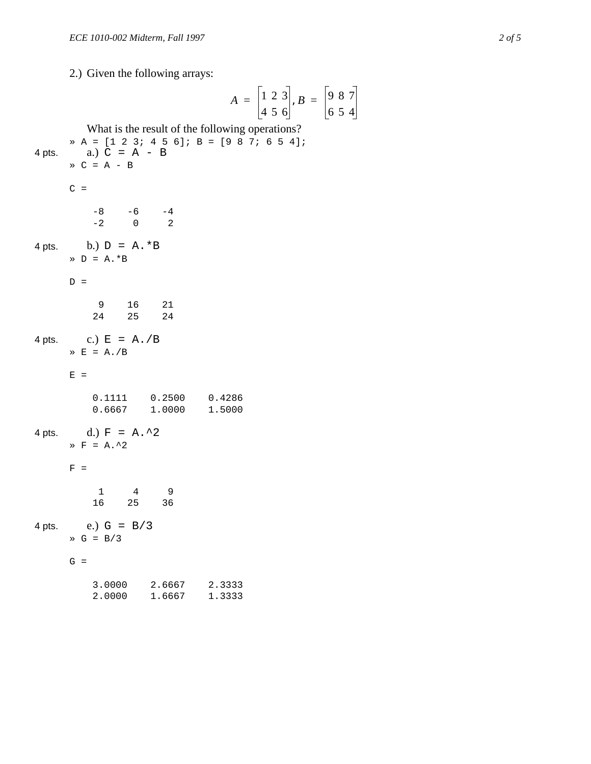2.) Given the following arrays:

4 pts.

4 pts.

4 pts.

 $4$  pts.

 $4$  pts.

2.7 Given the following arrays.  
\n
$$
A = \begin{bmatrix} 1 & 2 & 3 \\ 4 & 5 & 6 \end{bmatrix}, B =
$$
  
\nWhat is the result of the following operations?  
\na.)  $C = A - B$   
\n $\Rightarrow C = A - B$   
\n $\Rightarrow C = A - B$   
\n $\Rightarrow C =$   
\n $\begin{bmatrix} -8 & -6 & -4 \\ -2 & 0 & 2 \end{bmatrix}$   
\nb.)  $D = A \cdot B$   
\n $D =$   
\n $\begin{bmatrix} 9 & 16 & 21 \\ 24 & 25 & 24 \end{bmatrix}$   
\nc.)  $E = A./B$   
\n $E =$   
\n0.1111 0.2500 0.4286  
\n0.6667 1.0000 1.5000  
\nd.)  $F = A \cdot 2$   
\n $F =$   
\n1 4 9  
\n16 25 36  
\ne.)  $G = B/3$   
\n $\Rightarrow G = B/3$   
\n $\Rightarrow G = B/3$   
\n $\Rightarrow G = B/3$   
\n $\Rightarrow G = B/3$   
\n $\Rightarrow G = 1/3$   
\n $\Rightarrow G = B/3$   
\n $\Rightarrow G = B/3$   
\n $\Rightarrow G = 1/3$   
\n $\Rightarrow G = 1/3$   
\n $\Rightarrow G = 2/3$   
\n $\Rightarrow G = 3.0000 2.6667 2.3333$   
\n2.0000 1.6667 1.3333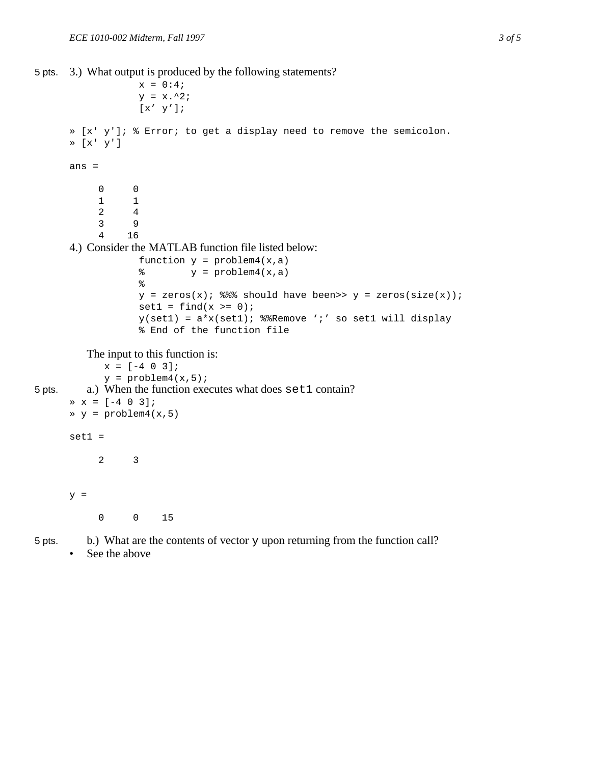```
5 pts. 3.) What output is produced by the following statements?
```

```
x = 0:4;y = x.^{2};\left[\begin{smallmatrix} \mathbf{x}' & \mathbf{y}' \end{smallmatrix}\right] ;
      » [x' y']; % Error; to get a display need to remove the semicolon.
      » [x' y']
      ans =
        0 0
             1 1
             2 4
             3 9
             4 16
      4.) Consider the MATLAB function file listed below:
                    function y = problem4(x, a)\gamma = \text{problem4}(x, a)\,y = zeros(x); %% should have been>> y = zeros(size(x));
                    set1 = find(x >= 0);y(set1) = a*x(set1); %%Remove ';' so set1 will display
                    % End of the function file
          The input to this function is:
             x = [-4 \ 0 \ 3];y = problem4(x, 5);
5 pts. a.) When the function executes what does set 1 contain?
      \ast x = [-4 \ 0 \ 3];» y = problem4(x,5)
      set1 = 2 3
      y = 0 0 15
```
5 pts. b.) What are the contents of vector  $\gamma$  upon returning from the function call?

• See the above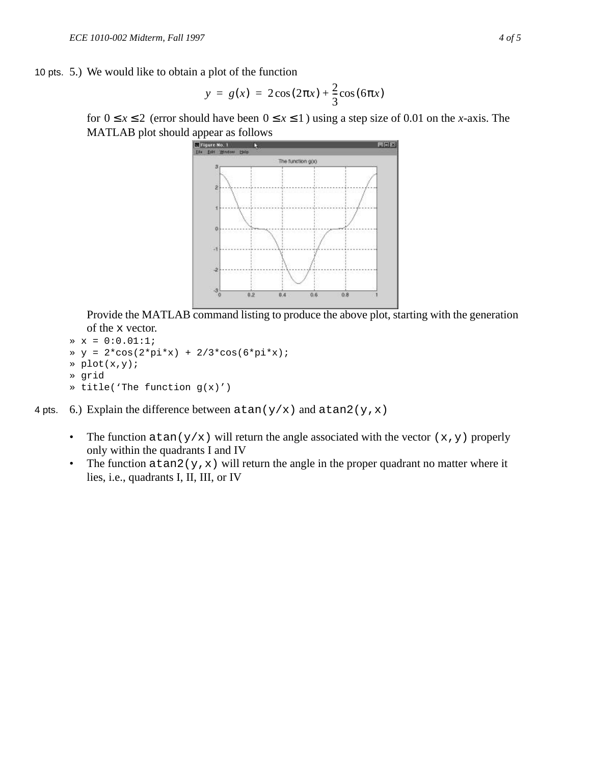10 pts. 5.) We would like to obtain a plot of the function

$$
y = g(x) = 2\cos(2\pi x) + \frac{2}{3}\cos(6\pi x)
$$

for  $0 \le x \le 2$  (error should have been  $0 \le x \le 1$ ) using a step size of 0.01 on the *x*-axis. The MATLAB plot should appear as follows



Provide the MATLAB command listing to produce the above plot, starting with the generation of the x vector.

```
* x = 0:0.01:1;» y = 2*cos(2*pi*x) + 2/3*cos(6*pi*x);
» plot(x,y);
» grid
» title('The function g(x)')
```
4 pts. 6.) Explain the difference between  $\text{atan}(y/x)$  and  $\text{atan2}(y,x)$ 

- The function  $\text{atan}(y/x)$  will return the angle associated with the vector  $(x, y)$  properly only within the quadrants I and IV
- The function  $\text{atan2}(y, x)$  will return the angle in the proper quadrant no matter where it lies, i.e., quadrants I, II, III, or IV